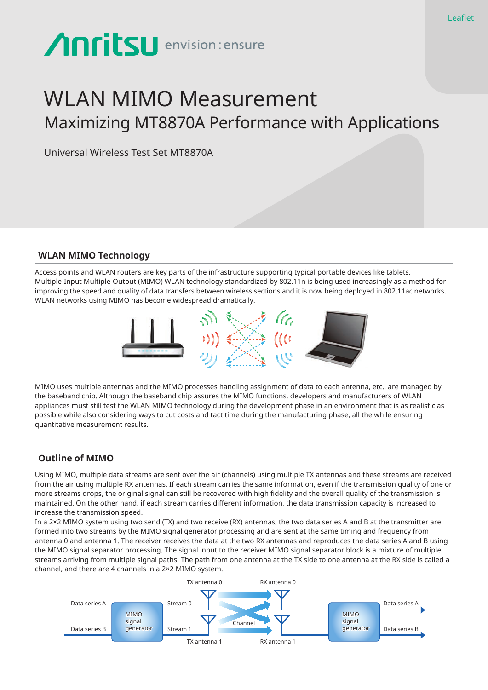# **Anritsu** envision: ensure

# WLAN MIMO Measurement Maximizing MT8870A Performance with Applications

Universal Wireless Test Set MT8870A

# **WLAN MIMO Technology**

Access points and WLAN routers are key parts of the infrastructure supporting typical portable devices like tablets. Multiple-Input Multiple-Output (MIMO) WLAN technology standardized by 802.11n is being used increasingly as a method for improving the speed and quality of data transfers between wireless sections and it is now being deployed in 802.11ac networks. WLAN networks using MIMO has become widespread dramatically.



MIMO uses multiple antennas and the MIMO processes handling assignment of data to each antenna, etc., are managed by the baseband chip. Although the baseband chip assures the MIMO functions, developers and manufacturers of WLAN appliances must still test the WLAN MIMO technology during the development phase in an environment that is as realistic as possible while also considering ways to cut costs and tact time during the manufacturing phase, all the while ensuring quantitative measurement results.

# **Outline of MIMO**

Using MIMO, multiple data streams are sent over the air (channels) using multiple TX antennas and these streams are received from the air using multiple RX antennas. If each stream carries the same information, even if the transmission quality of one or more streams drops, the original signal can still be recovered with high fidelity and the overall quality of the transmission is maintained. On the other hand, if each stream carries different information, the data transmission capacity is increased to increase the transmission speed.

In a 2×2 MIMO system using two send (TX) and two receive (RX) antennas, the two data series A and B at the transmitter are formed into two streams by the MIMO signal generator processing and are sent at the same timing and frequency from antenna 0 and antenna 1. The receiver receives the data at the two RX antennas and reproduces the data series A and B using the MIMO signal separator processing. The signal input to the receiver MIMO signal separator block is a mixture of multiple streams arriving from multiple signal paths. The path from one antenna at the TX side to one antenna at the RX side is called a channel, and there are 4 channels in a 2×2 MIMO system.

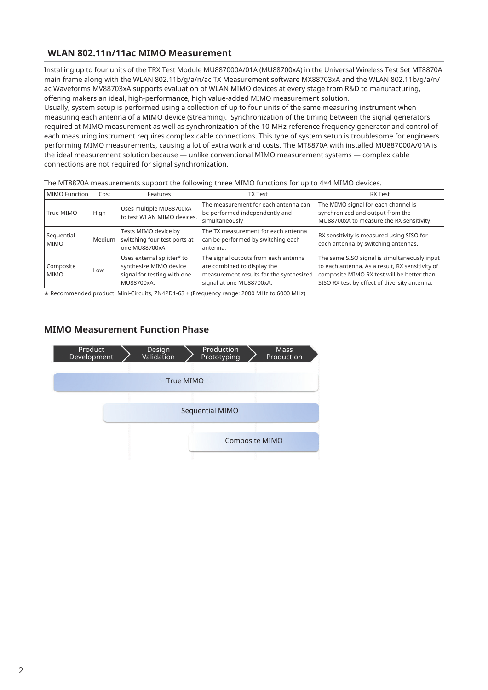# **WLAN 802.11n/11ac MIMO Measurement**

Installing up to four units of the TRX Test Module MU887000A/01A (MU88700xA) in the Universal Wireless Test Set MT8870A main frame along with the WLAN 802.11b/g/a/n/ac TX Measurement software MX88703xA and the WLAN 802.11b/g/a/n/ ac Waveforms MV88703xA supports evaluation of WLAN MIMO devices at every stage from R&D to manufacturing, offering makers an ideal, high-performance, high value-added MIMO measurement solution.

Usually, system setup is performed using a collection of up to four units of the same measuring instrument when measuring each antenna of a MIMO device (streaming). Synchronization of the timing between the signal generators required at MIMO measurement as well as synchronization of the 10-MHz reference frequency generator and control of each measuring instrument requires complex cable connections. This type of system setup is troublesome for engineers performing MIMO measurements, causing a lot of extra work and costs. The MT8870A with installed MU887000A/01A is the ideal measurement solution because ― unlike conventional MIMO measurement systems ― complex cable connections are not required for signal synchronization.

| <b>MIMO Function</b>     | Cost   | Features                                                                                          | <b>TX Test</b>                                                                                                                             | <b>RX Test</b>                                                                                                                                                                                |  |
|--------------------------|--------|---------------------------------------------------------------------------------------------------|--------------------------------------------------------------------------------------------------------------------------------------------|-----------------------------------------------------------------------------------------------------------------------------------------------------------------------------------------------|--|
| True MIMO                | High   | Uses multiple MU88700xA<br>to test WLAN MIMO devices.                                             | The measurement for each antenna can<br>be performed independently and<br>simultaneously                                                   | The MIMO signal for each channel is<br>synchronized and output from the<br>MU88700xA to measure the RX sensitivity.                                                                           |  |
| Sequential<br>MIMO       | Medium | Tests MIMO device by<br>switching four test ports at<br>one MU88700xA.                            | The TX measurement for each antenna<br>can be performed by switching each<br>antenna.                                                      | RX sensitivity is measured using SISO for<br>each antenna by switching antennas.                                                                                                              |  |
| Composite<br><b>MIMO</b> | Low    | Uses external splitter* to<br>synthesize MIMO device<br>signal for testing with one<br>MU88700xA. | The signal outputs from each antenna<br>are combined to display the<br>measurement results for the synthesized<br>signal at one MU88700xA. | The same SISO signal is simultaneously input<br>to each antenna. As a result, RX sensitivity of<br>composite MIMO RX test will be better than<br>SISO RX test by effect of diversity antenna. |  |

The MT8870A measurements support the following three MIMO functions for up to 4×4 MIMO devices.

\* Recommended product: Mini-Circuits, ZN4PD1-63 + (Frequency range: 2000 MHz to 6000 MHz)

# **MIMO Measurement Function Phase**

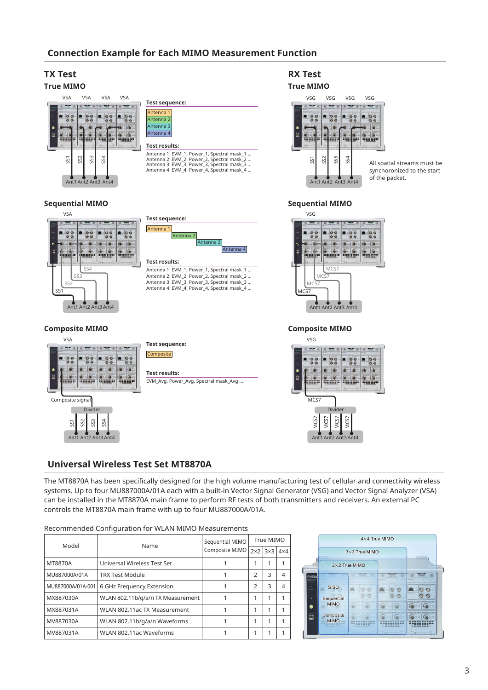# **Connection Example for Each MIMO Measurement Function**

ntenna

# **TX Test**

#### **True MIMO**



#### **Sequential MIMO**





**Test results:** Antenna 1: EVM\_1, Power\_1, Spectral mask\_1 ... Antenna 2: EVM\_2, Power\_2, Spectral mask\_2 ... Antenna 3: EVM\_3, Power\_3, Spectral mask\_3 ... Antenna 4: EVM\_4, Power\_4, Spectral mask\_4 ...

## **Composite MIMO**



Ant1 Ant2 Ant3 Ant4

| Test sequence:                        |  |
|---------------------------------------|--|
| <b>Composite</b>                      |  |
|                                       |  |
| <b>Test results:</b>                  |  |
|                                       |  |
| EVM_Avg, Power_Avg, Spectral mask_Avg |  |
|                                       |  |

# **RX Test**

#### **True MIMO**



All spatial streams must be synchoronized to the start of the packet.

#### **Sequential MIMO**



**Composite MIMO**



## **Universal Wireless Test Set MT8870A**

The MT8870A has been specifically designed for the high volume manufacturing test of cellular and connectivity wireless systems. Up to four MU887000A/01A each with a built-in Vector Signal Generator (VSG) and Vector Signal Analyzer (VSA) can be installed in the MT8870A main frame to perform RF tests of both transmitters and receivers. An external PC controls the MT8870A main frame with up to four MU887000A/01A.

| Model             | Name                              | Sequential MIMO<br>Composite MIMO | True MIMO     |            |                |
|-------------------|-----------------------------------|-----------------------------------|---------------|------------|----------------|
|                   |                                   |                                   | $2\times2$    | $3\times3$ | $4\times4$     |
| MT8870A           | Universal Wireless Test Set       |                                   |               | 1          |                |
| MU887000A/01A     | <b>TRX Test Module</b>            |                                   | $\mathcal{P}$ | 3          | $\overline{4}$ |
| MU887000A/01A-001 | 6 GHz Frequency Extension         |                                   | $\mathcal{P}$ | 3          | $\overline{4}$ |
| MX887030A         | WLAN 802.11b/g/a/n TX Measurement |                                   | 1             | 1          |                |
| MX887031A         | WLAN 802.11ac TX Measurement      |                                   | 1             | 1          |                |
| MV887030A         | WLAN 802.11b/g/a/n Waveforms      |                                   | 1             | 1          |                |
| MV887031A         | WLAN 802.11ac Waveforms           |                                   |               | 1          |                |



#### 3